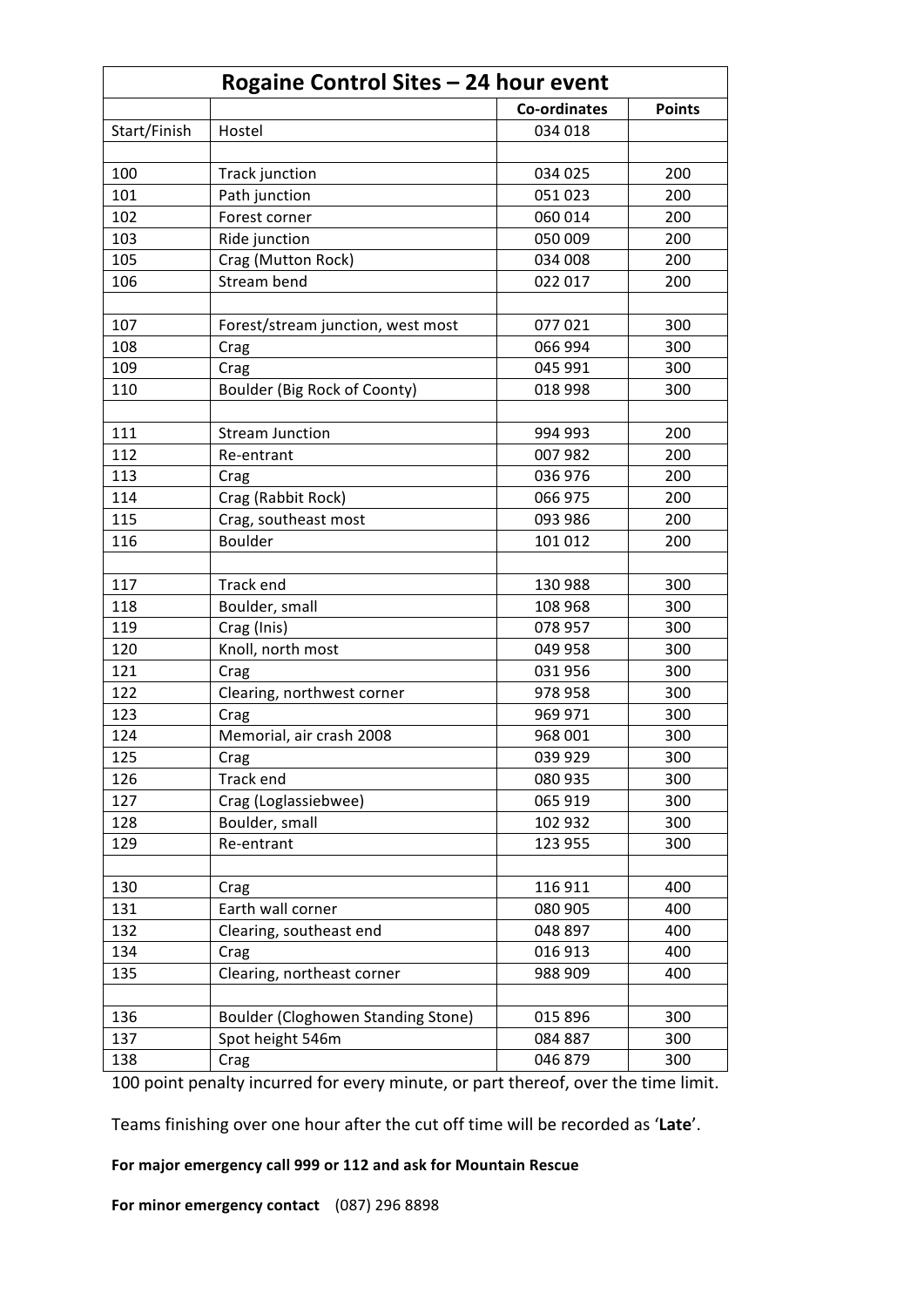| Rogaine Control Sites - 24 hour event |                                    |              |               |  |
|---------------------------------------|------------------------------------|--------------|---------------|--|
|                                       |                                    | Co-ordinates | <b>Points</b> |  |
| Start/Finish                          | Hostel                             | 034 018      |               |  |
|                                       |                                    |              |               |  |
| 100                                   | Track junction                     | 034 025      | 200           |  |
| 101                                   | Path junction                      | 051 023      | 200           |  |
| 102                                   | Forest corner                      | 060 014      | 200           |  |
| 103                                   | Ride junction                      | 050 009      | 200           |  |
| 105                                   | Crag (Mutton Rock)                 | 034 008      | 200           |  |
| 106                                   | Stream bend                        | 022 017      | 200           |  |
|                                       |                                    |              |               |  |
| 107                                   | Forest/stream junction, west most  | 077021       | 300           |  |
| 108                                   | Crag                               | 066 994      | 300           |  |
| 109                                   | Crag                               | 045 991      | 300           |  |
| 110                                   | Boulder (Big Rock of Coonty)       | 018 998      | 300           |  |
|                                       |                                    |              |               |  |
| 111                                   | <b>Stream Junction</b>             | 994 993      | 200           |  |
| 112                                   | Re-entrant                         | 007 982      | 200           |  |
| 113                                   | Crag                               | 036 976      | 200           |  |
| 114                                   | Crag (Rabbit Rock)                 | 066 975      | 200           |  |
| 115                                   | Crag, southeast most               | 093 986      | 200           |  |
| 116                                   | <b>Boulder</b>                     | 101 012      | 200           |  |
|                                       |                                    |              |               |  |
| 117                                   | Track end                          | 130 988      | 300           |  |
| 118                                   | Boulder, small                     | 108 968      | 300           |  |
| 119                                   | Crag (Inis)                        | 078 957      | 300           |  |
| 120                                   | Knoll, north most                  | 049 958      | 300           |  |
| 121                                   | Crag                               | 031956       | 300           |  |
| 122                                   | Clearing, northwest corner         | 978 958      | 300           |  |
| 123                                   | Crag                               | 969 971      | 300           |  |
| 124                                   | Memorial, air crash 2008           | 968 001      | 300           |  |
| 125                                   | Crag                               | 039 929      | 300           |  |
| 126                                   | Track end                          | 080 935      | 300           |  |
| 127                                   | Crag (Loglassiebwee)               | 065 919      | 300           |  |
| 128                                   | Boulder, small                     | 102 932      | 300           |  |
| 129                                   | Re-entrant                         | 123 955      | 300           |  |
|                                       |                                    |              |               |  |
| 130                                   | Crag                               | 116 911      | 400           |  |
| 131                                   | Earth wall corner                  | 080 905      | 400           |  |
| 132                                   | Clearing, southeast end            | 048 897      | 400           |  |
| 134                                   | Crag                               | 016 913      | 400           |  |
| 135                                   | Clearing, northeast corner         | 988 909      | 400           |  |
|                                       |                                    |              |               |  |
| 136                                   | Boulder (Cloghowen Standing Stone) | 015 896      | 300           |  |
| 137                                   | Spot height 546m                   | 084 887      | 300           |  |
| 138                                   | Crag                               | 046 879      | 300           |  |

100 point penalty incurred for every minute, or part thereof, over the time limit.

Teams finishing over one hour after the cut off time will be recorded as 'Late'.

For major emergency call 999 or 112 and ask for Mountain Rescue

**For minor emergency contact** (087) 296 8898